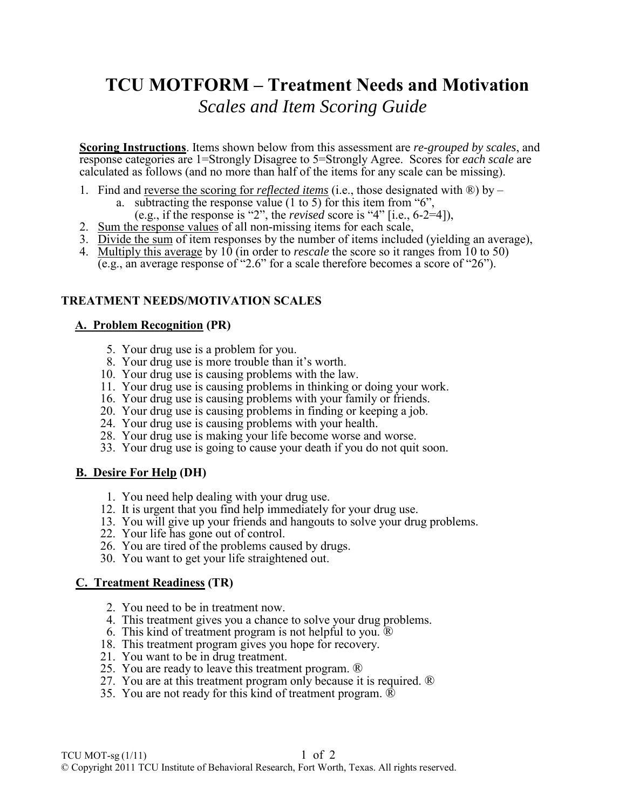# **TCU MOTFORM – Treatment Needs and Motivation**  *0BScales and Item Scoring Guide*

**Scoring Instructions**. Items shown below from this assessment are *re-grouped by scales*, and response categories are 1=Strongly Disagree to 5=Strongly Agree. Scores for *each scale* are calculated as follows (and no more than half of the items for any scale can be missing).

- 1. Find and reverse the scoring for *reflected items* (i.e., those designated with ®) by
	- a. subtracting the response value (1 to 5) for this item from "6",
	- (e.g., if the response is "2", the *revised* score is "4" [i.e., 6-2=4]),
- 2. Sum the response values of all non-missing items for each scale,
- 3. Divide the sum of item responses by the number of items included (yielding an average),
- 4. Multiply this average by 10 (in order to *rescale* the score so it ranges from 10 to 50) (e.g., an average response of "2.6" for a scale therefore becomes a score of "26").

# **TREATMENT NEEDS/MOTIVATION SCALES**

## *<sup>U</sup>***A. Problem Recognition***<sup>U</sup>* **(PR)**

- 5. Your drug use is a problem for you.
- 8. Your drug use is more trouble than it's worth.
- 10. Your drug use is causing problems with the law.
- 11. Your drug use is causing problems in thinking or doing your work.
- 16. Your drug use is causing problems with your family or friends.
- 20. Your drug use is causing problems in finding or keeping a job.
- 24. Your drug use is causing problems with your health.
- 28. Your drug use is making your life become worse and worse.
- 33. Your drug use is going to cause your death if you do not quit soon.

## *<sup>U</sup>***B. Desire For Help***<sup>U</sup>* **(DH)**

- 1. You need help dealing with your drug use.
- 12. It is urgent that you find help immediately for your drug use.
- 13. You will give up your friends and hangouts to solve your drug problems.
- 22. Your life has gone out of control.
- 26. You are tired of the problems caused by drugs.
- 30. You want to get your life straightened out.

#### *C.* **Treatment Readiness** *(TR)*

- 2. You need to be in treatment now.
- 4. This treatment gives you a chance to solve your drug problems.
- 6. This kind of treatment program is not helpful to you.  $\overline{R}$
- 18. This treatment program gives you hope for recovery.
- 21. You want to be in drug treatment.
- 25. You are ready to leave this treatment program. ®
- 27. You are at this treatment program only because it is required. ®
- 35. You are not ready for this kind of treatment program. ®